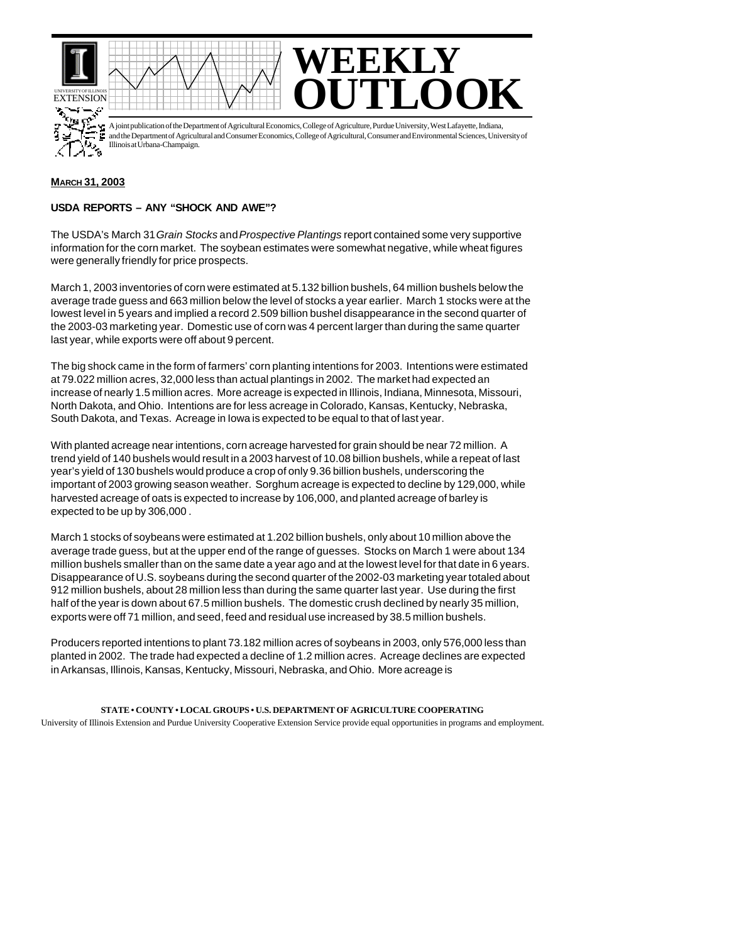

A joint publication of the Department of Agricultural Economics, College of Agriculture, Purdue University, West Lafayette, Indiana, and the Department of Agricultural and Consumer Economics, College of Agricultural, Consumer and Environmental Sciences, University of Illinois at Urbana-Champaign.

## **MARCH 31, 2003**

## **USDA REPORTS – ANY "SHOCK AND AWE"?**

The USDA's March 31 *Grain Stocks* and *Prospective Plantings* report contained some very supportive information for the corn market. The soybean estimates were somewhat negative, while wheat figures were generally friendly for price prospects.

March 1, 2003 inventories of corn were estimated at 5.132 billion bushels, 64 million bushels below the average trade guess and 663 million below the level of stocks a year earlier. March 1 stocks were at the lowest level in 5 years and implied a record 2.509 billion bushel disappearance in the second quarter of the 2003-03 marketing year. Domestic use of corn was 4 percent larger than during the same quarter last year, while exports were off about 9 percent.

The big shock came in the form of farmers' corn planting intentions for 2003. Intentions were estimated at 79.022 million acres, 32,000 less than actual plantings in 2002. The market had expected an increase of nearly 1.5 million acres. More acreage is expected in Illinois, Indiana, Minnesota, Missouri, North Dakota, and Ohio. Intentions are for less acreage in Colorado, Kansas, Kentucky, Nebraska, South Dakota, and Texas. Acreage in Iowa is expected to be equal to that of last year.

With planted acreage near intentions, corn acreage harvested for grain should be near 72 million. A trend yield of 140 bushels would result in a 2003 harvest of 10.08 billion bushels, while a repeat of last year's yield of 130 bushels would produce a crop of only 9.36 billion bushels, underscoring the important of 2003 growing season weather. Sorghum acreage is expected to decline by 129,000, while harvested acreage of oats is expected to increase by 106,000, and planted acreage of barley is expected to be up by 306,000 .

March 1 stocks of soybeans were estimated at 1.202 billion bushels, only about 10 million above the average trade guess, but at the upper end of the range of guesses. Stocks on March 1 were about 134 million bushels smaller than on the same date a year ago and at the lowest level for that date in 6 years. Disappearance of U.S. soybeans during the second quarter of the 2002-03 marketing year totaled about 912 million bushels, about 28 million less than during the same quarter last year. Use during the first half of the year is down about 67.5 million bushels. The domestic crush declined by nearly 35 million, exports were off 71 million, and seed, feed and residual use increased by 38.5 million bushels.

Producers reported intentions to plant 73.182 million acres of soybeans in 2003, only 576,000 less than planted in 2002. The trade had expected a decline of 1.2 million acres. Acreage declines are expected in Arkansas, Illinois, Kansas, Kentucky, Missouri, Nebraska, and Ohio. More acreage is

## **STATE • COUNTY • LOCAL GROUPS • U.S. DEPARTMENT OF AGRICULTURE COOPERATING**

University of Illinois Extension and Purdue University Cooperative Extension Service provide equal opportunities in programs and employment.